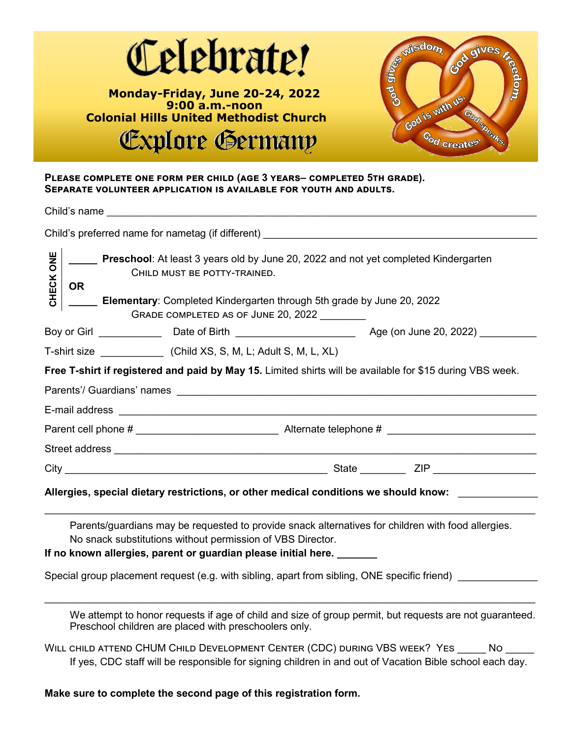

#### **Please complete one form per child (age 3 years– completed 5th grade). Separate volunteer application is available for youth and adults.**

|                    | Child's name <b>contract the contract of the contract of the contract of the contract of the contract of the contract of the contract of the contract of the contract of the contract of the contract of the contract of the con</b>                                                                                                                     |
|--------------------|----------------------------------------------------------------------------------------------------------------------------------------------------------------------------------------------------------------------------------------------------------------------------------------------------------------------------------------------------------|
|                    | Child's preferred name for nametag (if different) ______________________________                                                                                                                                                                                                                                                                         |
| <b>MD</b><br>CHECK | Preschool: At least 3 years old by June 20, 2022 and not yet completed Kindergarten<br>CHILD MUST BE POTTY-TRAINED.<br><b>OR</b><br>Elementary: Completed Kindergarten through 5th grade by June 20, 2022<br>GRADE COMPLETED AS OF JUNE 20, 2022                                                                                                         |
|                    |                                                                                                                                                                                                                                                                                                                                                          |
|                    |                                                                                                                                                                                                                                                                                                                                                          |
|                    | Free T-shirt if registered and paid by May 15. Limited shirts will be available for \$15 during VBS week.                                                                                                                                                                                                                                                |
|                    |                                                                                                                                                                                                                                                                                                                                                          |
|                    |                                                                                                                                                                                                                                                                                                                                                          |
|                    |                                                                                                                                                                                                                                                                                                                                                          |
|                    | Allergies, special dietary restrictions, or other medical conditions we should know:                                                                                                                                                                                                                                                                     |
|                    | Parents/guardians may be requested to provide snack alternatives for children with food allergies.<br>No snack substitutions without permission of VBS Director.<br>If no known allergies, parent or guardian please initial here. _______<br>Special group placement request (e.g. with sibling, apart from sibling, ONE specific friend) _____________ |
|                    | We attempt to honor requests if age of child and size of group permit, but requests are not guaranteed.<br>Preschool children are placed with preschoolers only.                                                                                                                                                                                         |
|                    | WILL CHILD ATTEND CHUM CHILD DEVELOPMENT CENTER (CDC) DURING VBS WEEK? YES _____ NO _____<br>If yes, CDC staff will be responsible for signing children in and out of Vacation Bible school each day.                                                                                                                                                    |
|                    | Make sure to complete the second page of this registration form.                                                                                                                                                                                                                                                                                         |